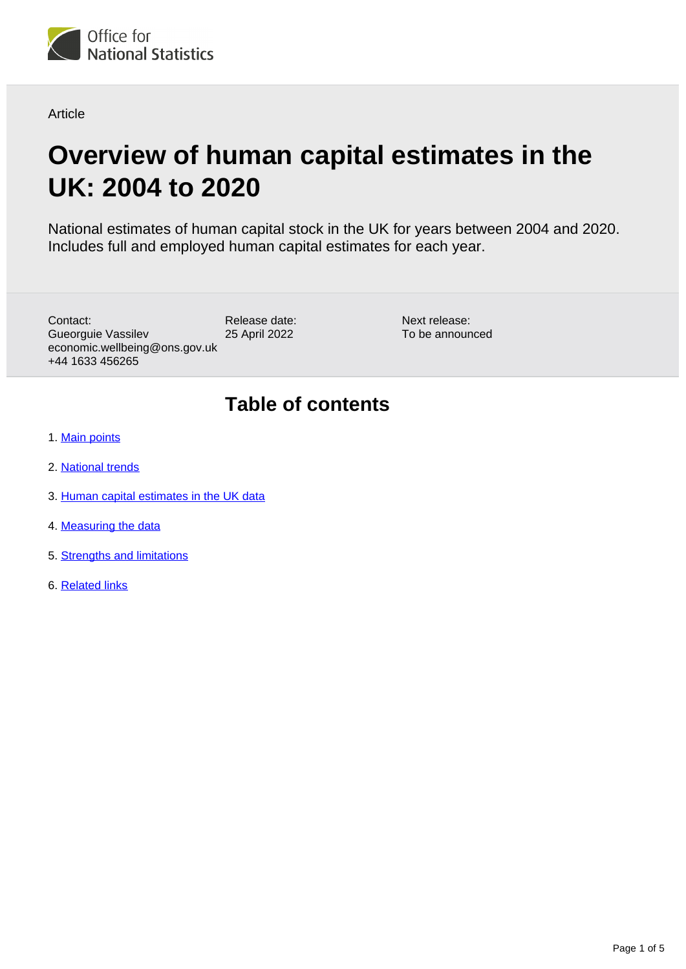

Article

# **Overview of human capital estimates in the UK: 2004 to 2020**

National estimates of human capital stock in the UK for years between 2004 and 2020. Includes full and employed human capital estimates for each year.

Contact: Gueorguie Vassilev economic.wellbeing@ons.gov.uk +44 1633 456265

Release date: 25 April 2022

Next release: To be announced

## **Table of contents**

- 1. [Main points](#page-1-0)
- 2. [National trends](#page-2-0)
- 3. [Human capital estimates in the UK data](#page-3-0)
- 4. [Measuring the data](#page-3-1)
- 5. [Strengths and limitations](#page-3-2)
- 6. [Related links](#page-4-0)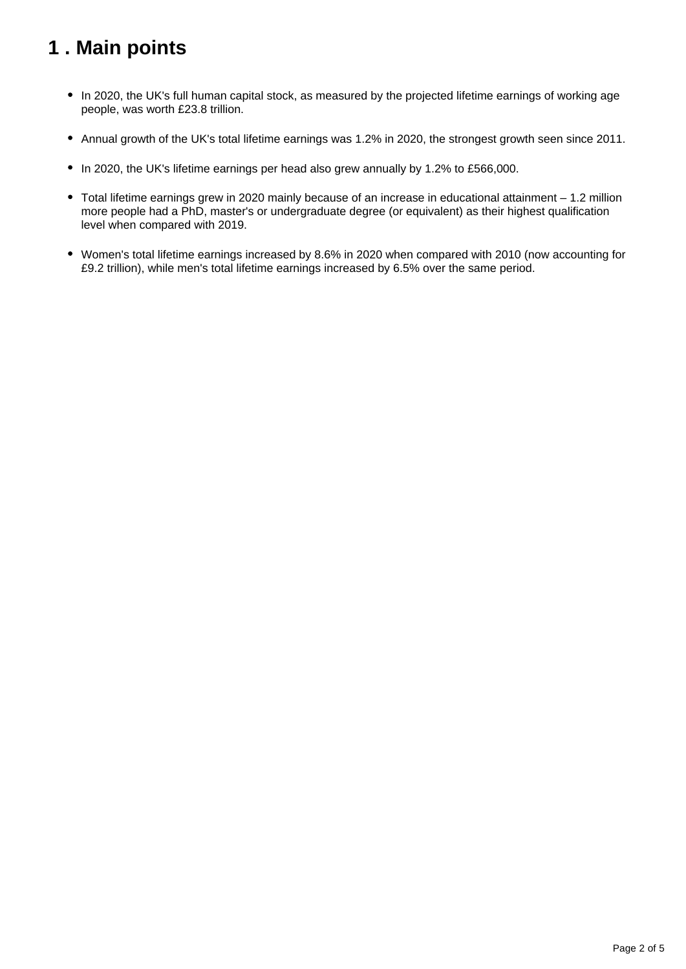## <span id="page-1-0"></span>**1 . Main points**

- In 2020, the UK's full human capital stock, as measured by the projected lifetime earnings of working age people, was worth £23.8 trillion.
- Annual growth of the UK's total lifetime earnings was 1.2% in 2020, the strongest growth seen since 2011.
- In 2020, the UK's lifetime earnings per head also grew annually by 1.2% to £566,000.
- Total lifetime earnings grew in 2020 mainly because of an increase in educational attainment 1.2 million more people had a PhD, master's or undergraduate degree (or equivalent) as their highest qualification level when compared with 2019.
- Women's total lifetime earnings increased by 8.6% in 2020 when compared with 2010 (now accounting for £9.2 trillion), while men's total lifetime earnings increased by 6.5% over the same period.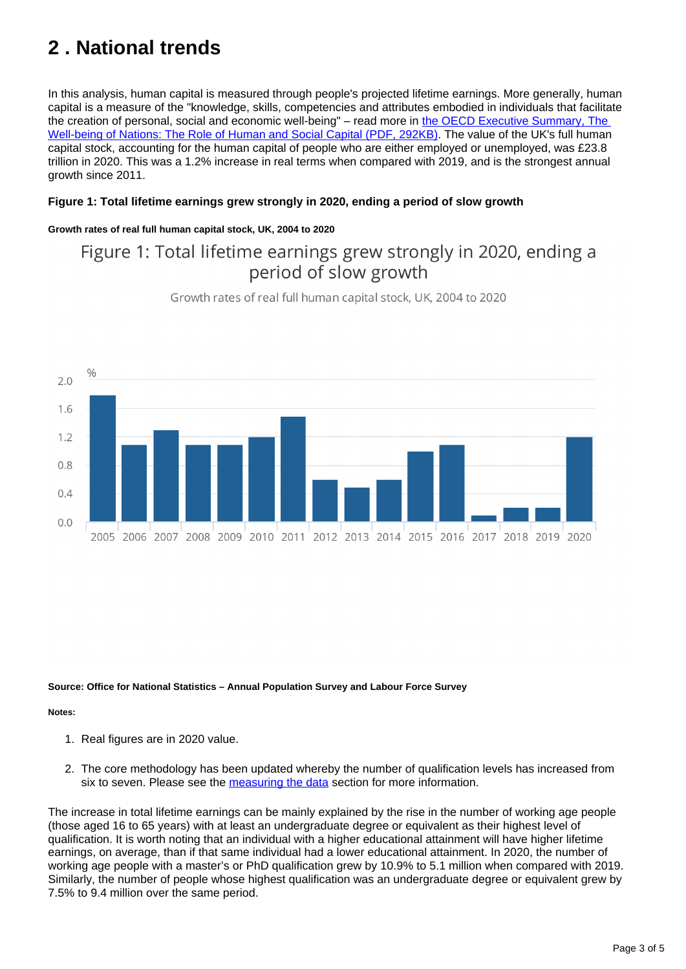## <span id="page-2-0"></span>**2 . National trends**

In this analysis, human capital is measured through people's projected lifetime earnings. More generally, human capital is a measure of the "knowledge, skills, competencies and attributes embodied in individuals that facilitate the creation of personal, social and economic well-being" – read more in the OECD Executive Summary, The [Well-being of Nations: The Role of Human and Social Capital \(PDF, 292KB\)](https://www.oecd.org/education/innovation-education/1870573.pdf). The value of the UK's full human capital stock, accounting for the human capital of people who are either employed or unemployed, was £23.8 trillion in 2020. This was a 1.2% increase in real terms when compared with 2019, and is the strongest annual growth since 2011.

#### **Figure 1: Total lifetime earnings grew strongly in 2020, ending a period of slow growth**

#### **Growth rates of real full human capital stock, UK, 2004 to 2020**

### Figure 1: Total lifetime earnings grew strongly in 2020, ending a period of slow growth



Growth rates of real full human capital stock, UK, 2004 to 2020

#### **Source: Office for National Statistics – Annual Population Survey and Labour Force Survey**

#### **Notes:**

- 1. Real figures are in 2020 value.
- 2. The core methodology has been updated whereby the number of qualification levels has increased from six to seven. Please see the [measuring the data](https://www.ons.gov.uk/peoplepopulationandcommunity/wellbeing/articles/humancapitalestimates/2004to2020#measuring-the-data) section for more information.

The increase in total lifetime earnings can be mainly explained by the rise in the number of working age people (those aged 16 to 65 years) with at least an undergraduate degree or equivalent as their highest level of qualification. It is worth noting that an individual with a higher educational attainment will have higher lifetime earnings, on average, than if that same individual had a lower educational attainment. In 2020, the number of working age people with a master's or PhD qualification grew by 10.9% to 5.1 million when compared with 2019. Similarly, the number of people whose highest qualification was an undergraduate degree or equivalent grew by 7.5% to 9.4 million over the same period.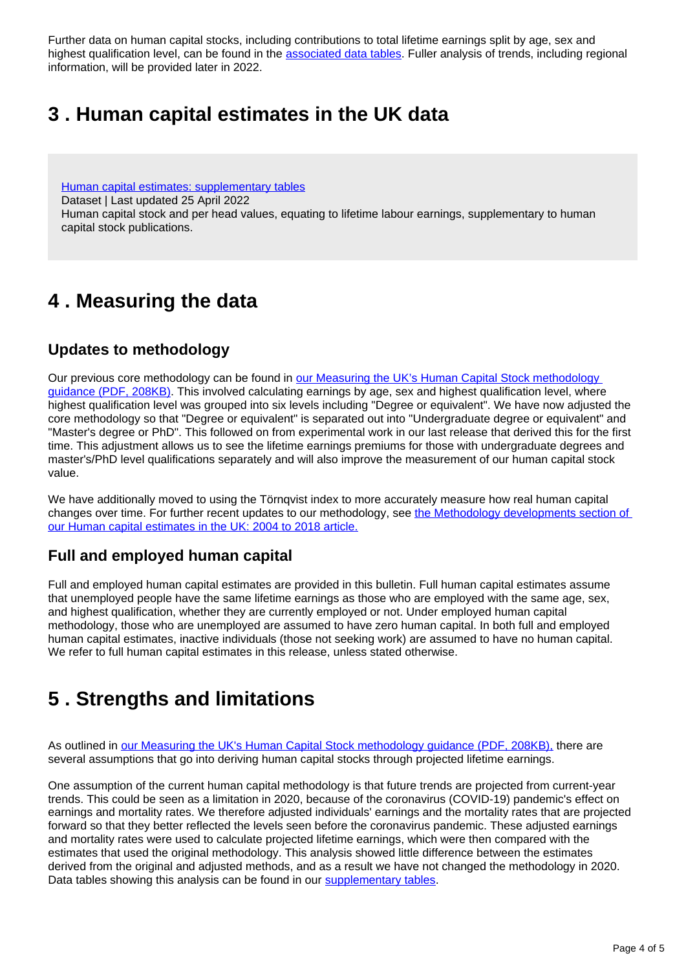Further data on human capital stocks, including contributions to total lifetime earnings split by age, sex and highest qualification level, can be found in the [associated data tables](https://www.ons.gov.uk/peoplepopulationandcommunity/wellbeing/datasets/humancapitalestimatessupplementarytables). Fuller analysis of trends, including regional information, will be provided later in 2022.

### <span id="page-3-0"></span>**3 . Human capital estimates in the UK data**

[Human capital estimates: supplementary tables](https://www.ons.gov.uk/peoplepopulationandcommunity/wellbeing/datasets/humancapitalestimatessupplementarytables)

Dataset | Last updated 25 April 2022

Human capital stock and per head values, equating to lifetime labour earnings, supplementary to human capital stock publications.

### <span id="page-3-1"></span>**4 . Measuring the data**

### **Updates to methodology**

Our previous core methodology can be found in [our Measuring the UK's Human Capital Stock methodology](http://www.ons.gov.uk/ons/guide-method/user-guidance/well-being/publications/human-capital---methodology-paper.pdf)  [guidance \(PDF, 208KB\)](http://www.ons.gov.uk/ons/guide-method/user-guidance/well-being/publications/human-capital---methodology-paper.pdf). This involved calculating earnings by age, sex and highest qualification level, where highest qualification level was grouped into six levels including "Degree or equivalent". We have now adjusted the core methodology so that "Degree or equivalent" is separated out into "Undergraduate degree or equivalent" and "Master's degree or PhD". This followed on from experimental work in our last release that derived this for the first time. This adjustment allows us to see the lifetime earnings premiums for those with undergraduate degrees and master's/PhD level qualifications separately and will also improve the measurement of our human capital stock value.

We have additionally moved to using the Törnqvist index to more accurately measure how real human capital changes over time. For further recent updates to our methodology, see [the Methodology developments section of](https://www.ons.gov.uk/peoplepopulationandcommunity/wellbeing/articles/humancapitalestimates/2004to2018#methodology-developments)  [our Human capital estimates in the UK: 2004 to 2018 article.](https://www.ons.gov.uk/peoplepopulationandcommunity/wellbeing/articles/humancapitalestimates/2004to2018#methodology-developments)

### **Full and employed human capital**

Full and employed human capital estimates are provided in this bulletin. Full human capital estimates assume that unemployed people have the same lifetime earnings as those who are employed with the same age, sex, and highest qualification, whether they are currently employed or not. Under employed human capital methodology, those who are unemployed are assumed to have zero human capital. In both full and employed human capital estimates, inactive individuals (those not seeking work) are assumed to have no human capital. We refer to full human capital estimates in this release, unless stated otherwise.

### <span id="page-3-2"></span>**5 . Strengths and limitations**

As outlined in [our Measuring the UK's Human Capital Stock methodology guidance \(PDF, 208KB\),](http://www.ons.gov.uk/ons/guide-method/user-guidance/well-being/publications/human-capital---methodology-paper.pdf) there are several assumptions that go into deriving human capital stocks through projected lifetime earnings.

One assumption of the current human capital methodology is that future trends are projected from current-year trends. This could be seen as a limitation in 2020, because of the coronavirus (COVID-19) pandemic's effect on earnings and mortality rates. We therefore adjusted individuals' earnings and the mortality rates that are projected forward so that they better reflected the levels seen before the coronavirus pandemic. These adjusted earnings and mortality rates were used to calculate projected lifetime earnings, which were then compared with the estimates that used the original methodology. This analysis showed little difference between the estimates derived from the original and adjusted methods, and as a result we have not changed the methodology in 2020. Data tables showing this analysis can be found in our [supplementary tables](https://www.ons.gov.uk/peoplepopulationandcommunity/wellbeing/datasets/humancapitalestimatessupplementarytables).